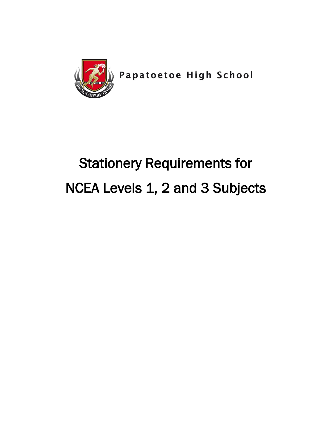

Papatoetoe High School

# Stationery Requirements for NCEA Levels 1, 2 and 3 Subjects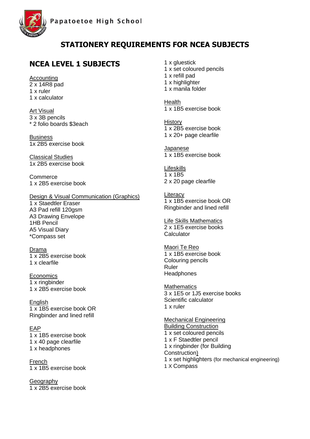



#### **NCEA LEVEL 1 SUBJECTS**

Accounting 2 x 14R8 pad 1 x ruler 1 x calculator

Art Visual 3 x 3B pencils \* 2 folio boards \$3each

Business 1x 2B5 exercise book

Classical Studies 1x 2B5 exercise book

**Commerce** 1 x 2B5 exercise book

Design & Visual Communication (Graphics)

1 x Staedtler Eraser A3 Pad refill 120gsm A3 Drawing Envelope 1HB Pencil A5 Visual Diary \*Compass set

Drama 1 x 2B5 exercise book 1 x clearfile

**Economics** 1 x ringbinder 1 x 2B5 exercise book

**English** 1 x 1B5 exercise book OR Ringbinder and lined refill

EAP 1 x 1B5 exercise book 1 x 40 page clearfile 1 x headphones

French 1 x 1B5 exercise book

Geography 1 x 2B5 exercise book

- 1 x gluestick
- 1 x set coloured pencils
- 1 x refill pad
- 1 x highlighter
- 1 x manila folder

**Health** 1 x 1B5 exercise book

**History** 1 x 2B5 exercise book 1 x 20+ page clearfile

Japanese 1 x 1B5 exercise book

Lifeskills 1 x 1B5 2 x 20 page clearfile

**Literacy** 1 x 1B5 exercise book OR Ringbinder and lined refill

Life Skills Mathematics 2 x 1E5 exercise books **Calculator** 

Maori Te Reo 1 x 1B5 exercise book Colouring pencils Ruler **Headphones** 

**Mathematics** 3 x 1E5 or 1J5 exercise books Scientific calculator 1 x ruler

Mechanical Engineering Building Construction 1 x set coloured pencils 1 x F Staedtler pencil 1 x ringbinder (for Building Construction) 1 x set highlighters (for mechanical engineering) 1 X Compass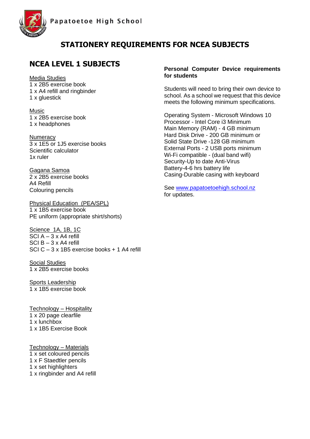



#### **NCEA LEVEL 1 SUBJECTS**

Media Studies x 2B5 exercise book x A4 refill and ringbinder x gluestick

Music 1 x 2B5 exercise book 1 x headphones

**Numeracy** 3 x 1E5 or 1J5 exercise books Scientific calculator 1x ruler

Gagana Samoa 2 x 2B5 exercise books A4 Refill Colouring pencils

Physical Education (PEA/SPL) 1 x 1B5 exercise book PE uniform (appropriate shirt/shorts)

Science 1A, 1B, 1C SCI  $A - 3x$  A4 refill SCI  $B - 3x$  A4 refill SCI C – 3 x 1B5 exercise books + 1 A4 refill

Social Studies 1 x 2B5 exercise books

Sports Leadership 1 x 1B5 exercise book

Technology – Hospitality 1 x 20 page clearfile 1 x lunchbox 1 x 1B5 Exercise Book

Technology – Materials 1 x set coloured pencils 1 x F Staedtler pencils 1 x set highlighters 1 x ringbinder and A4 refill

#### **Personal Computer Device requirements for students**

Students will need to bring their own device to school. As a school we request that this device meets the following minimum specifications.

Operating System - Microsoft Windows 10 Processor - Intel Core i3 Minimum Main Memory (RAM) - 4 GB minimum Hard Disk Drive - 200 GB minimum or Solid State Drive -128 GB minimum External Ports - 2 USB ports minimum Wi-Fi compatible - (dual band wifi) Security-Up to date Anti-Virus Battery-4-6 hrs battery life Casing-Durable casing with keyboard

See [www.papatoetoehigh.school.nz](http://www.papatoetoehigh.school.nz/) for updates.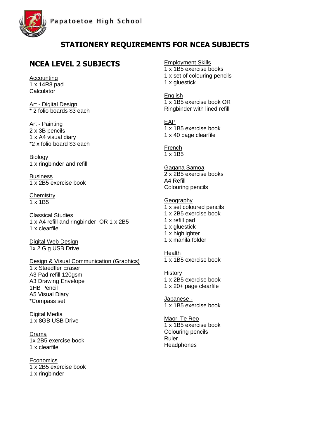

## **NCEA LEVEL 2 SUBJECTS**

Accounting 1 x 14R8 pad **Calculator** 

Art - Digital Design \* 2 folio boards \$3 each

Art - Painting 2 x 3B pencils 1 x A4 visual diary \*2 x folio board \$3 each

Biology 1 x ringbinder and refill

**Business** 1 x 2B5 exercise book

**Chemistry**  $1 \times 1B5$ 

Classical Studies 1 x A4 refill and ringbinder OR 1 x 2B5 1 x clearfile

Digital Web Design 1x 2 Gig USB Drive

#### Design & Visual Communication (Graphics)

1 x Staedtler Eraser A3 Pad refill 120gsm A3 Drawing Envelope 1HB Pencil A5 Visual Diary \*Compass set

Digital Media 1 x 8GB USB Drive

Drama 1x 2B5 exercise book 1 x clearfile

**Economics** 1 x 2B5 exercise book 1 x ringbinder

Employment Skills

1 x 1B5 exercise books 1 x set of colouring pencils 1 x gluestick

**English** 

1 x 1B5 exercise book OR Ringbinder with lined refill

EAP

1 x 1B5 exercise book 1 x 40 page clearfile

French 1 x 1B5

Gagana Samoa 2 x 2B5 exercise books A4 Refill Colouring pencils

**Geography** 1 x set coloured pencils 1 x 2B5 exercise book 1 x refill pad 1 x gluestick 1 x highlighter 1 x manila folder **Health** 

1 x 1B5 exercise book

**History** 1 x 2B5 exercise book 1 x 20+ page clearfile

Japanese - 1 x 1B5 exercise book

Maori Te Reo 1 x 1B5 exercise book Colouring pencils Ruler **Headphones**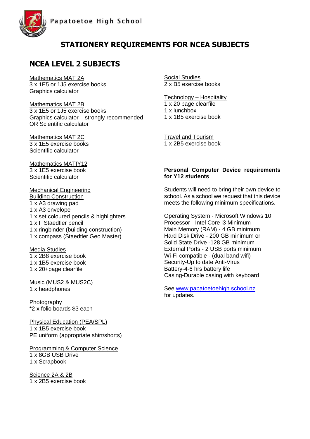

## **NCEA LEVEL 2 SUBJECTS**

Mathematics MAT 2A 3 x 1E5 or 1J5 exercise books Graphics calculator

Mathematics MAT 2B 3 x 1E5 or 1J5 exercise books Graphics calculator – strongly recommended OR Scientific calculator

Mathematics MAT 2C 3 x 1E5 exercise books Scientific calculator

Mathematics MATIY12 3 x 1E5 exercise book Scientific calculator

Mechanical Engineering Building Construction x A3 drawing pad x A3 envelope x set coloured pencils & highlighters x F Staedtler pencil x ringbinder (building construction) 1 x compass (Staedtler Geo Master)

Media Studies x 2B8 exercise book x 1B5 exercise book x 20+page clearfile

Music (MUS2 & MUS2C) 1 x headphones

Photography \*2 x folio boards \$3 each

Physical Education (PEA/SPL) 1 x 1B5 exercise book PE uniform (appropriate shirt/shorts)

Programming & Computer Science 1 x 8GB USB Drive 1 x Scrapbook

Science 2A & 2B 1 x 2B5 exercise book Social Studies 2 x B5 exercise books

Technology – Hospitality

1 x 20 page clearfile 1 x lunchbox 1 x 1B5 exercise book

Travel and Tourism 1 x 2B5 exercise book

#### **Personal Computer Device requirements for Y12 students**

Students will need to bring their own device to school. As a school we request that this device meets the following minimum specifications.

Operating System - Microsoft Windows 10 Processor - Intel Core i3 Minimum Main Memory (RAM) - 4 GB minimum Hard Disk Drive - 200 GB minimum or Solid State Drive -128 GB minimum External Ports - 2 USB ports minimum Wi-Fi compatible - (dual band wifi) Security-Up to date Anti-Virus Battery-4-6 hrs battery life Casing-Durable casing with keyboard

See [www.papatoetoehigh.school.nz](http://www.papatoetoehigh.school.nz/) for updates.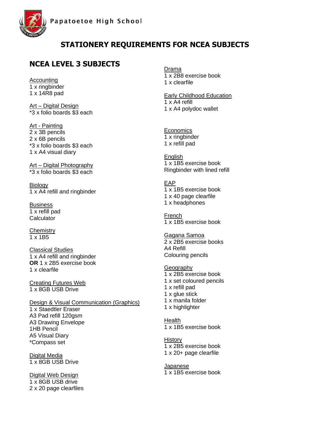

#### **NCEA LEVEL 3 SUBJECTS**

Accounting 1 x ringbinder 1 x 14R8 pad

Art – Digital Design \*3 x folio boards \$3 each

Art - Painting 2 x 3B pencils 2 x 6B pencils \*3 x folio boards \$3 each 1 x A4 visual diary

Art – Digital Photography \*3 x folio boards \$3 each

**Biology** 1 x A4 refill and ringbinder

Business 1 x refill pad **Calculator** 

**Chemistry**  $1 \times 1B5$ 

Classical Studies 1 x A4 refill and ringbinder **OR** 1 x 2B5 exercise book 1 x clearfile

Creating Futures Web 1 x 8GB USB Drive

Design & Visual Communication (Graphics) 1 x Staedtler Eraser A3 Pad refill 120gsm A3 Drawing Envelope 1HB Pencil A5 Visual Diary \*Compass set

Digital Media 1 x 8GB USB Drive

Digital Web Design 1 x 8GB USB drive 2 x 20 page clearfiles Drama 1 x 2B8 exercise book 1 x clearfile

Early Childhood Education 1 x A4 refill 1 x A4 polydoc wallet

**Economics** 1 x ringbinder 1 x refill pad

English 1 x 1B5 exercise book Ringbinder with lined refill

EAP 1 x 1B5 exercise book 1 x 40 page clearfile 1 x headphones

French 1 x 1B5 exercise book

Gagana Samoa 2 x 2B5 exercise books A4 Refill Colouring pencils

**Geography** 1 x 2B5 exercise book 1 x set coloured pencils 1 x refill pad 1 x glue stick 1 x manila folder 1 x highlighter

Health 1 x 1B5 exercise book

**History** 1 x 2B5 exercise book 1 x 20+ page clearfile

**Japanese** 1 x 1B5 exercise book